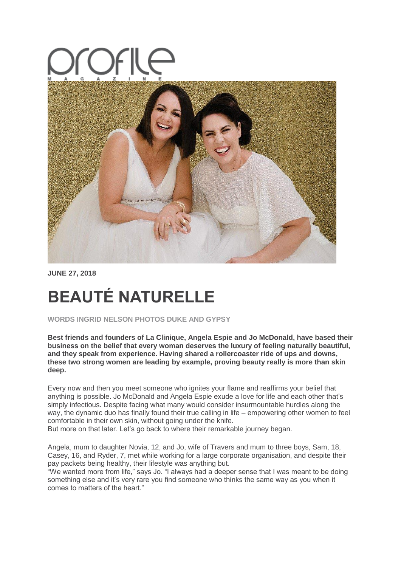

**JUNE 27, 2018**

# **BEAUTÉ NATURELLE**

**WORDS INGRID NELSON PHOTOS DUKE AND GYPSY**

**Best friends and founders of La Clinique, Angela Espie and Jo McDonald, have based their business on the belief that every woman deserves the luxury of feeling naturally beautiful, and they speak from experience. Having shared a rollercoaster ride of ups and downs, these two strong women are leading by example, proving beauty really is more than skin deep.**

Every now and then you meet someone who ignites your flame and reaffirms your belief that anything is possible. Jo McDonald and Angela Espie exude a love for life and each other that's simply infectious. Despite facing what many would consider insurmountable hurdles along the way, the dynamic duo has finally found their true calling in life – empowering other women to feel comfortable in their own skin, without going under the knife.

But more on that later. Let's go back to where their remarkable journey began.

Angela, mum to daughter Novia, 12, and Jo, wife of Travers and mum to three boys, Sam, 18, Casey, 16, and Ryder, 7, met while working for a large corporate organisation, and despite their pay packets being healthy, their lifestyle was anything but.

"We wanted more from life," says Jo. "I always had a deeper sense that I was meant to be doing something else and it's very rare you find someone who thinks the same way as you when it comes to matters of the heart."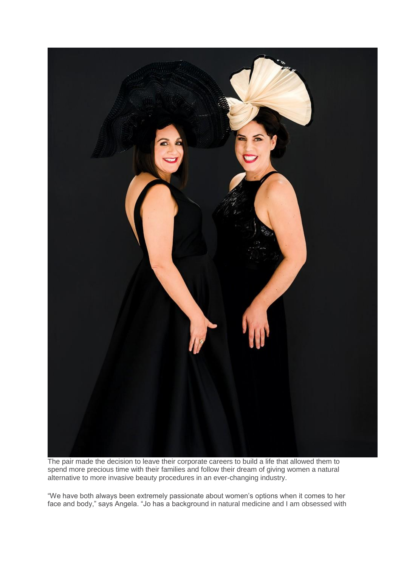

The pair made the decision to leave their corporate careers to build a life that allowed them to spend more precious time with their families and follow their dream of giving women a natural alternative to more invasive beauty procedures in an ever-changing industry.

"We have both always been extremely passionate about women's options when it comes to her face and body," says Angela. "Jo has a background in natural medicine and I am obsessed with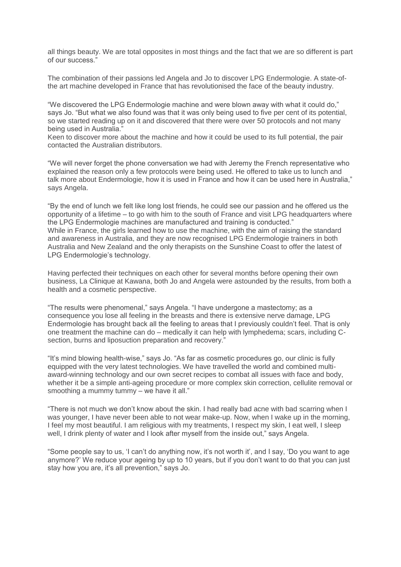all things beauty. We are total opposites in most things and the fact that we are so different is part of our success."

The combination of their passions led Angela and Jo to discover LPG Endermologie. A state-ofthe art machine developed in France that has revolutionised the face of the beauty industry.

"We discovered the LPG Endermologie machine and were blown away with what it could do," says Jo. "But what we also found was that it was only being used to five per cent of its potential, so we started reading up on it and discovered that there were over 50 protocols and not many being used in Australia."

Keen to discover more about the machine and how it could be used to its full potential, the pair contacted the Australian distributors.

"We will never forget the phone conversation we had with Jeremy the French representative who explained the reason only a few protocols were being used. He offered to take us to lunch and talk more about Endermologie, how it is used in France and how it can be used here in Australia," says Angela.

"By the end of lunch we felt like long lost friends, he could see our passion and he offered us the opportunity of a lifetime – to go with him to the south of France and visit LPG headquarters where the LPG Endermologie machines are manufactured and training is conducted." While in France, the girls learned how to use the machine, with the aim of raising the standard and awareness in Australia, and they are now recognised LPG Endermologie trainers in both Australia and New Zealand and the only therapists on the Sunshine Coast to offer the latest of LPG Endermologie's technology.

Having perfected their techniques on each other for several months before opening their own business, La Clinique at Kawana, both Jo and Angela were astounded by the results, from both a health and a cosmetic perspective.

"The results were phenomenal," says Angela. "I have undergone a mastectomy; as a consequence you lose all feeling in the breasts and there is extensive nerve damage, LPG Endermologie has brought back all the feeling to areas that I previously couldn't feel. That is only one treatment the machine can do – medically it can help with lymphedema; scars, including Csection, burns and liposuction preparation and recovery."

"It's mind blowing health-wise," says Jo. "As far as cosmetic procedures go, our clinic is fully equipped with the very latest technologies. We have travelled the world and combined multiaward-winning technology and our own secret recipes to combat all issues with face and body, whether it be a simple anti-ageing procedure or more complex skin correction, cellulite removal or smoothing a mummy tummy – we have it all."

"There is not much we don't know about the skin. I had really bad acne with bad scarring when I was younger, I have never been able to not wear make-up. Now, when I wake up in the morning, I feel my most beautiful. I am religious with my treatments, I respect my skin, I eat well, I sleep well, I drink plenty of water and I look after myself from the inside out," says Angela.

"Some people say to us, 'I can't do anything now, it's not worth it', and I say, 'Do you want to age anymore?' We reduce your ageing by up to 10 years, but if you don't want to do that you can just stay how you are, it's all prevention," says Jo.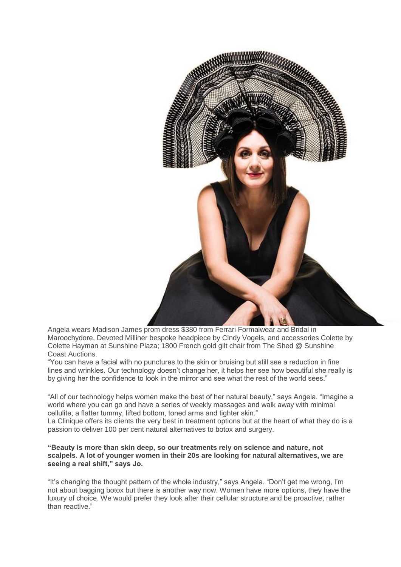

Angela wears Madison James prom dress \$380 from Ferrari Formalwear and Bridal in Maroochydore, Devoted Milliner bespoke headpiece by Cindy Vogels, and accessories Colette by Colette Hayman at Sunshine Plaza; 1800 French gold gilt chair from The Shed @ Sunshine Coast Auctions.

"You can have a facial with no punctures to the skin or bruising but still see a reduction in fine lines and wrinkles. Our technology doesn't change her, it helps her see how beautiful she really is by giving her the confidence to look in the mirror and see what the rest of the world sees."

"All of our technology helps women make the best of her natural beauty," says Angela. "Imagine a world where you can go and have a series of weekly massages and walk away with minimal cellulite, a flatter tummy, lifted bottom, toned arms and tighter skin."

La Clinique offers its clients the very best in treatment options but at the heart of what they do is a passion to deliver 100 per cent natural alternatives to botox and surgery.

### **"Beauty is more than skin deep, so our treatments rely on science and nature, not scalpels. A lot of younger women in their 20s are looking for natural alternatives, we are seeing a real shift," says Jo.**

"It's changing the thought pattern of the whole industry," says Angela. "Don't get me wrong, I'm not about bagging botox but there is another way now. Women have more options, they have the luxury of choice. We would prefer they look after their cellular structure and be proactive, rather than reactive."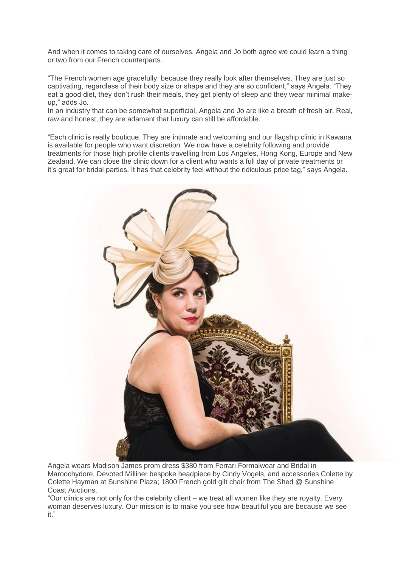And when it comes to taking care of ourselves, Angela and Jo both agree we could learn a thing or two from our French counterparts.

"The French women age gracefully, because they really look after themselves. They are just so captivating, regardless of their body size or shape and they are so confident," says Angela. "They eat a good diet, they don't rush their meals, they get plenty of sleep and they wear minimal makeup," adds Jo.

In an industry that can be somewhat superficial, Angela and Jo are like a breath of fresh air. Real, raw and honest, they are adamant that luxury can still be affordable.

"Each clinic is really boutique. They are intimate and welcoming and our flagship clinic in Kawana is available for people who want discretion. We now have a celebrity following and provide treatments for those high profile clients travelling from Los Angeles, Hong Kong, Europe and New Zealand. We can close the clinic down for a client who wants a full day of private treatments or it's great for bridal parties. It has that celebrity feel without the ridiculous price tag," says Angela.



Angela wears Madison James prom dress \$380 from Ferrari Formalwear and Bridal in Maroochydore, Devoted Milliner bespoke headpiece by Cindy Vogels, and accessories Colette by Colette Hayman at Sunshine Plaza; 1800 French gold gilt chair from The Shed @ Sunshine Coast Auctions.

"Our clinics are not only for the celebrity client – we treat all women like they are royalty. Every woman deserves luxury. Our mission is to make you see how beautiful you are because we see it."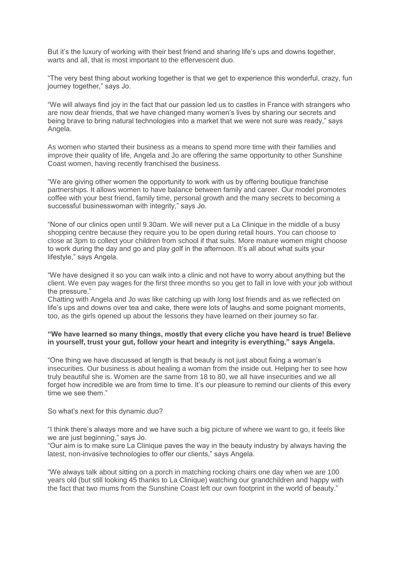But it's the luxury of working with their best friend and sharing life's ups and downs together, warts and all, that is most important to the effervescent duo.

"The very best thing about working together is that we get to experience this wonderful, crazy, fun journey together," says Jo.

"We will always find joy in the fact that our passion led us to castles in France with strangers who are now dear friends, that we have changed many women's lives by sharing our secrets and being brave to bring natural technologies into a market that we were not sure was ready," says Angela.

As women who started their business as a means to spend more time with their families and improve their quality of life, Angela and Jo are offering the same opportunity to other Sunshine Coast women, having recently franchised the business.

"We are giving other women the opportunity to work with us by offering boutique franchise partnerships. It allows women to have balance between family and career. Our model promotes coffee with your best friend, family time, personal growth and the many secrets to becoming a successful businesswoman with integrity," says Jo.

"None of our clinics open until 9.30am. We will never put a La Clinique in the middle of a busy shopping centre because they require you to be open during retail hours. You can choose to close at 3pm to collect your children from school if that suits. More mature women might choose to work during the day and go and play golf in the afternoon. It's all about what suits your lifestyle," says Angela.

"We have designed it so you can walk into a clinic and not have to worry about anything but the client. We even pay wages for the first three months so you get to fall in love with your job without the pressure."

Chatting with Angela and Jo was like catching up with long lost friends and as we reflected on life's ups and downs over tea and cake, there were lots of laughs and some poignant moments, too, as the girls opened up about the lessons they have learned on their journey so far.

### **"We have learned so many things, mostly that every cliche you have heard is true! Believe in yourself, trust your gut, follow your heart and integrity is everything," says Angela.**

"One thing we have discussed at length is that beauty is not just about fixing a woman's insecurities. Our business is about healing a woman from the inside out. Helping her to see how truly beautiful she is. Women are the same from 18 to 80, we all have insecurities and we all forget how incredible we are from time to time. It's our pleasure to remind our clients of this every time we see them."

#### So what's next for this dynamic duo?

"I think there's always more and we have such a big picture of where we want to go, it feels like we are just beginning," says Jo.

"Our aim is to make sure La Clinique paves the way in the beauty industry by always having the latest, non-invasive technologies to offer our clients," says Angela.

"We always talk about sitting on a porch in matching rocking chairs one day when we are 100 years old (but still looking 45 thanks to La Clinique) watching our grandchildren and happy with the fact that two mums from the Sunshine Coast left our own footprint in the world of beauty."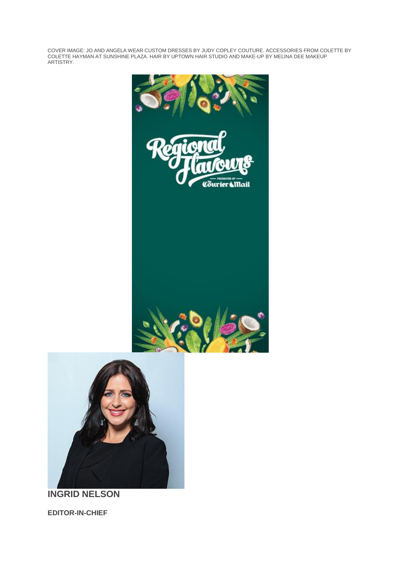COVER IMAGE: JO AND ANGELA WEAR CUSTOM DRESSES BY JUDY COPLEY COUTURE. ACCESSORIES FROM COLETTE BY COLETTE HAYMAN AT SUNSHINE PLAZA. HAIR BY UPTOWN HAIR STUDIO AND MAKE-UP BY MELINA DEE MAKEUP ARTISTRY.





**INGRID NELSON**

**EDITOR-IN-CHIEF**